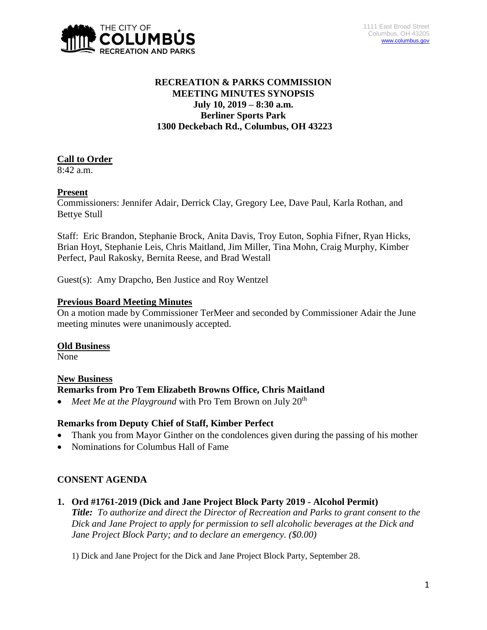

# **RECREATION & PARKS COMMISSION MEETING MINUTES SYNOPSIS July 10, 2019 – 8:30 a.m. Berliner Sports Park 1300 Deckebach Rd., Columbus, OH 43223**

# **Call to Order**

8:42 a.m.

# **Present**

Commissioners: Jennifer Adair, Derrick Clay, Gregory Lee, Dave Paul, Karla Rothan, and Bettye Stull

Staff: Eric Brandon, Stephanie Brock, Anita Davis, Troy Euton, Sophia Fifner, Ryan Hicks, Brian Hoyt, Stephanie Leis, Chris Maitland, Jim Miller, Tina Mohn, Craig Murphy, Kimber Perfect, Paul Rakosky, Bernita Reese, and Brad Westall

Guest(s): Amy Drapcho, Ben Justice and Roy Wentzel

## **Previous Board Meeting Minutes**

On a motion made by Commissioner TerMeer and seconded by Commissioner Adair the June meeting minutes were unanimously accepted.

#### **Old Business**

None

#### **New Business**

# **Remarks from Pro Tem Elizabeth Browns Office, Chris Maitland**

*Meet Me at the Playground* with Pro Tem Brown on July 20<sup>th</sup>

# **Remarks from Deputy Chief of Staff, Kimber Perfect**

- Thank you from Mayor Ginther on the condolences given during the passing of his mother
- Nominations for Columbus Hall of Fame

# **CONSENT AGENDA**

**1. Ord #1761-2019 (Dick and Jane Project Block Party 2019 - Alcohol Permit)**

*Title: To authorize and direct the Director of Recreation and Parks to grant consent to the Dick and Jane Project to apply for permission to sell alcoholic beverages at the Dick and Jane Project Block Party; and to declare an emergency. (\$0.00)*

1) Dick and Jane Project for the Dick and Jane Project Block Party, September 28.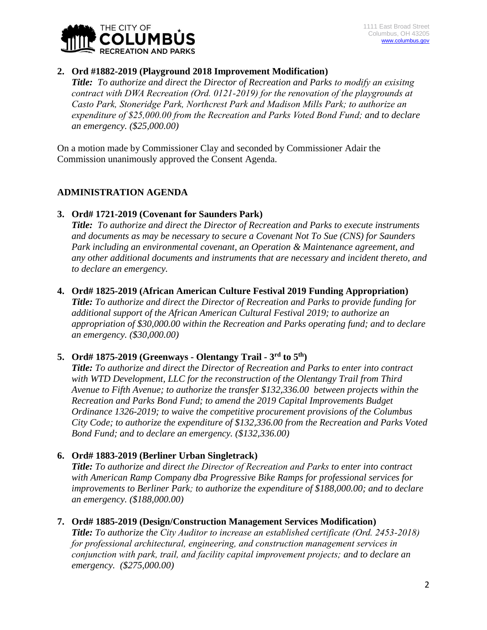

## **2. Ord #1882-2019 (Playground 2018 Improvement Modification)**

*Title: To authorize and direct the Director of Recreation and Parks to modify an exisitng contract with DWA Recreation (Ord. 0121-2019) for the renovation of the playgrounds at Casto Park, Stoneridge Park, Northcrest Park and Madison Mills Park; to authorize an expenditure of \$25,000.00 from the Recreation and Parks Voted Bond Fund; and to declare an emergency. (\$25,000.00)*

On a motion made by Commissioner Clay and seconded by Commissioner Adair the Commission unanimously approved the Consent Agenda.

# **ADMINISTRATION AGENDA**

## **3. Ord# 1721-2019 (Covenant for Saunders Park)**

*Title: To authorize and direct the Director of Recreation and Parks to execute instruments and documents as may be necessary to secure a Covenant Not To Sue (CNS) for Saunders Park including an environmental covenant, an Operation & Maintenance agreement, and any other additional documents and instruments that are necessary and incident thereto, and to declare an emergency.*

#### **4. Ord# 1825-2019 (African American Culture Festival 2019 Funding Appropriation)**

*Title: To authorize and direct the Director of Recreation and Parks to provide funding for additional support of the African American Cultural Festival 2019; to authorize an appropriation of \$30,000.00 within the Recreation and Parks operating fund; and to declare an emergency. (\$30,000.00)*

# **5. Ord# 1875-2019 (Greenways - Olentangy Trail - 3 rd to 5th)**

*Title: To authorize and direct the Director of Recreation and Parks to enter into contract with WTD Development, LLC for the reconstruction of the Olentangy Trail from Third Avenue to Fifth Avenue; to authorize the transfer \$132,336.00 between projects within the Recreation and Parks Bond Fund; to amend the 2019 Capital Improvements Budget Ordinance 1326-2019; to waive the competitive procurement provisions of the Columbus City Code; to authorize the expenditure of \$132,336.00 from the Recreation and Parks Voted Bond Fund; and to declare an emergency. (\$132,336.00)*

#### **6. Ord# 1883-2019 (Berliner Urban Singletrack)**

*Title: To authorize and direct the Director of Recreation and Parks to enter into contract with American Ramp Company dba Progressive Bike Ramps for professional services for improvements to Berliner Park; to authorize the expenditure of \$188,000.00; and to declare an emergency. (\$188,000.00)*

#### **7. Ord# 1885-2019 (Design/Construction Management Services Modification)**

*Title: To authorize the City Auditor to increase an established certificate (Ord. 2453-2018) for professional architectural, engineering, and construction management services in conjunction with park, trail, and facility capital improvement projects; and to declare an emergency. (\$275,000.00)*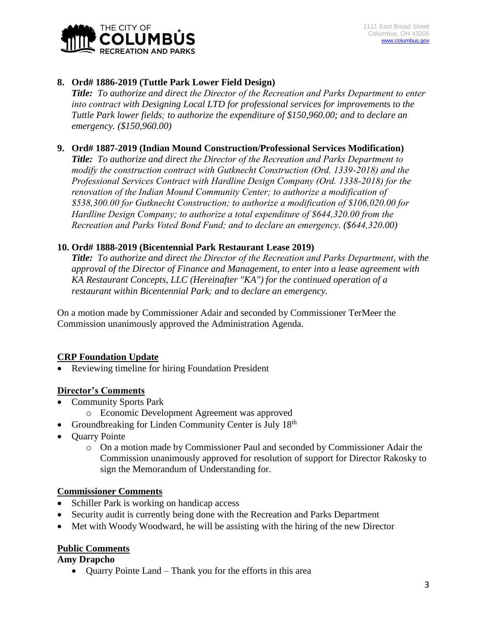

# **8. Ord# 1886-2019 (Tuttle Park Lower Field Design)**

*Title: To authorize and direct the Director of the Recreation and Parks Department to enter into contract with Designing Local LTD for professional services for improvements to the Tuttle Park lower fields; to authorize the expenditure of \$150,960.00; and to declare an emergency. (\$150,960.00)*

## **9. Ord# 1887-2019 (Indian Mound Construction/Professional Services Modification)**

*Title: To authorize and direct the Director of the Recreation and Parks Department to modify the construction contract with Gutknecht Construction (Ord. 1339-2018) and the Professional Services Contract with Hardline Design Company (Ord. 1338-2018) for the renovation of the Indian Mound Community Center; to authorize a modification of \$538,300.00 for Gutknecht Construction; to authorize a modification of \$106,020.00 for Hardline Design Company; to authorize a total expenditure of \$644,320.00 from the Recreation and Parks Voted Bond Fund; and to declare an emergency. (\$644,320.00)*

#### **10. Ord# 1888-2019 (Bicentennial Park Restaurant Lease 2019)**

*Title: To authorize and direct the Director of the Recreation and Parks Department, with the approval of the Director of Finance and Management, to enter into a lease agreement with KA Restaurant Concepts, LLC (Hereinafter "KA") for the continued operation of a restaurant within Bicentennial Park; and to declare an emergency.*

On a motion made by Commissioner Adair and seconded by Commissioner TerMeer the Commission unanimously approved the Administration Agenda.

# **CRP Foundation Update**

Reviewing timeline for hiring Foundation President

#### **Director's Comments**

- Community Sports Park
	- o Economic Development Agreement was approved
- Groundbreaking for Linden Community Center is July  $18<sup>th</sup>$
- Quarry Pointe
	- o On a motion made by Commissioner Paul and seconded by Commissioner Adair the Commission unanimously approved for resolution of support for Director Rakosky to sign the Memorandum of Understanding for.

#### **Commissioner Comments**

- Schiller Park is working on handicap access
- Security audit is currently being done with the Recreation and Parks Department
- Met with Woody Woodward, he will be assisting with the hiring of the new Director

#### **Public Comments**

#### **Amy Drapcho**

• Quarry Pointe Land – Thank you for the efforts in this area